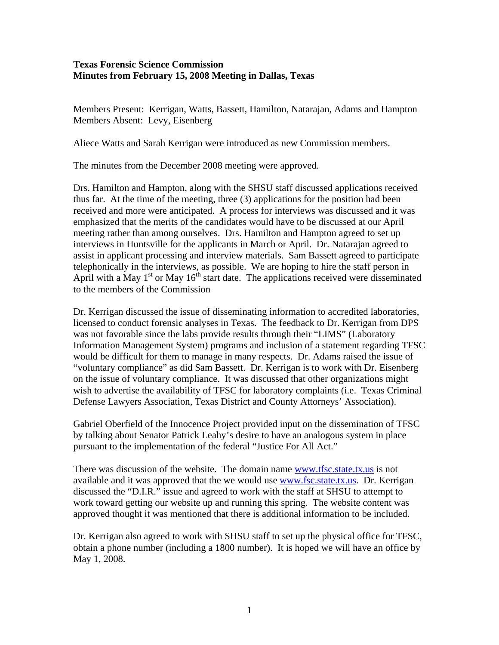## **Texas Forensic Science Commission Minutes from February 15, 2008 Meeting in Dallas, Texas**

Members Present: Kerrigan, Watts, Bassett, Hamilton, Natarajan, Adams and Hampton Members Absent: Levy, Eisenberg

Aliece Watts and Sarah Kerrigan were introduced as new Commission members.

The minutes from the December 2008 meeting were approved.

Drs. Hamilton and Hampton, along with the SHSU staff discussed applications received thus far. At the time of the meeting, three (3) applications for the position had been received and more were anticipated. A process for interviews was discussed and it was emphasized that the merits of the candidates would have to be discussed at our April meeting rather than among ourselves. Drs. Hamilton and Hampton agreed to set up interviews in Huntsville for the applicants in March or April. Dr. Natarajan agreed to assist in applicant processing and interview materials. Sam Bassett agreed to participate telephonically in the interviews, as possible. We are hoping to hire the staff person in April with a May  $1<sup>st</sup>$  or May  $16<sup>th</sup>$  start date. The applications received were disseminated to the members of the Commission

Dr. Kerrigan discussed the issue of disseminating information to accredited laboratories, licensed to conduct forensic analyses in Texas. The feedback to Dr. Kerrigan from DPS was not favorable since the labs provide results through their "LIMS" (Laboratory Information Management System) programs and inclusion of a statement regarding TFSC would be difficult for them to manage in many respects. Dr. Adams raised the issue of "voluntary compliance" as did Sam Bassett. Dr. Kerrigan is to work with Dr. Eisenberg on the issue of voluntary compliance. It was discussed that other organizations might wish to advertise the availability of TFSC for laboratory complaints (i.e. Texas Criminal Defense Lawyers Association, Texas District and County Attorneys' Association).

Gabriel Oberfield of the Innocence Project provided input on the dissemination of TFSC by talking about Senator Patrick Leahy's desire to have an analogous system in place pursuant to the implementation of the federal "Justice For All Act."

There was discussion of the website. The domain name [www.tfsc.state.tx.us](http://www.tfsc.state.tx.us/) is not available and it was approved that the we would use [www.fsc.state.tx.us](http://www.fsc.state.tx.us/). Dr. Kerrigan discussed the "D.I.R." issue and agreed to work with the staff at SHSU to attempt to work toward getting our website up and running this spring. The website content was approved thought it was mentioned that there is additional information to be included.

Dr. Kerrigan also agreed to work with SHSU staff to set up the physical office for TFSC, obtain a phone number (including a 1800 number). It is hoped we will have an office by May 1, 2008.